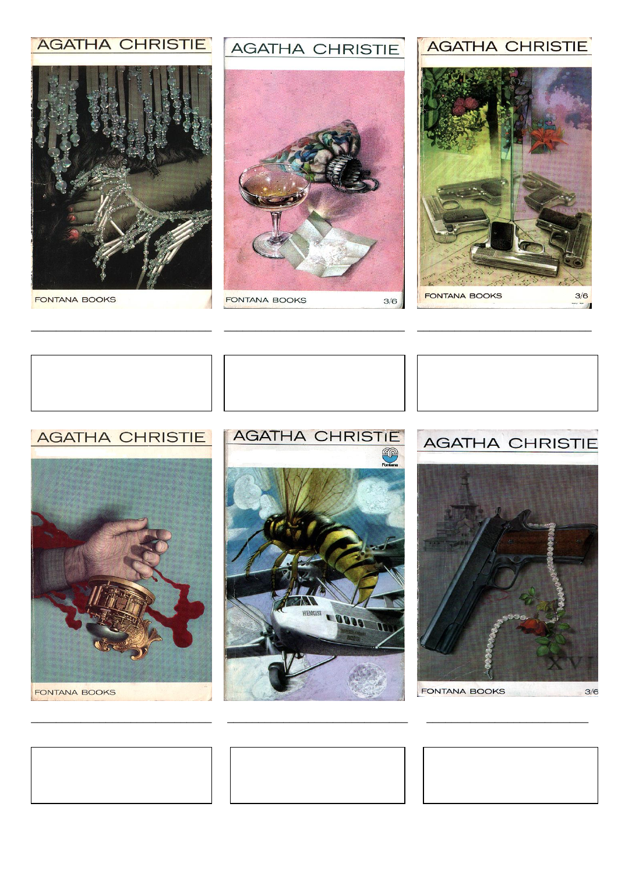# **AGATHA CHRISTIE**



**FONTANA BOOKS** 

#### **AGATHA CHRISTIE**



# **AGATHA CHRISTIE**





## **AGATHA CHRISTIE**



FONTANA BOOKS

# **AGATHA CHRISTIE**







**FONTANA BOOKS**  $3/6$ 





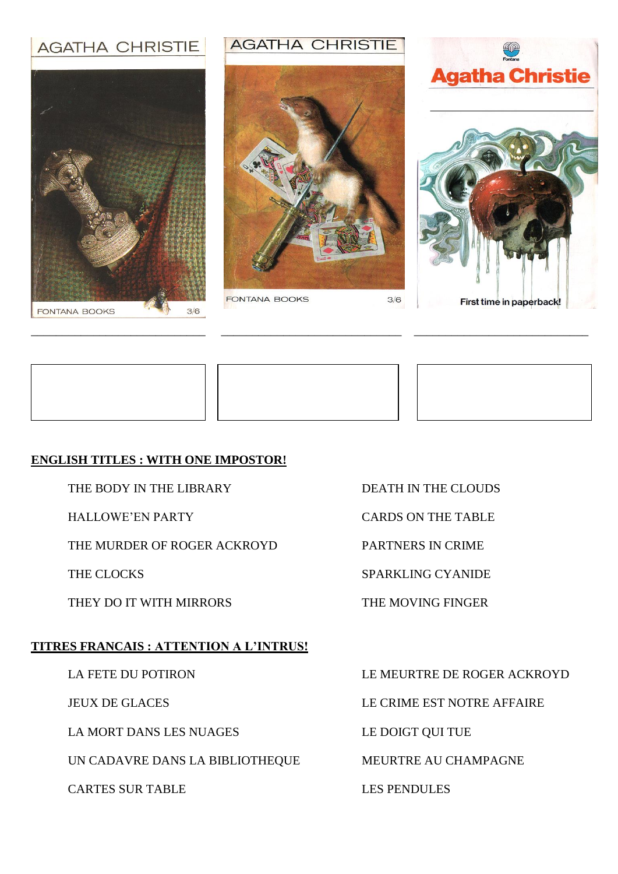# **AGATHA CHRISTIE**



#### **AGATHA CHRISTIE**



\_\_\_\_\_\_\_\_\_\_\_\_\_\_\_\_\_\_\_\_\_\_\_\_\_\_\_\_ \_\_\_\_\_\_\_\_\_\_\_\_\_\_\_\_\_\_\_\_\_\_\_\_\_\_\_\_\_ \_\_\_\_\_\_\_\_\_\_\_\_\_\_\_\_\_\_\_\_\_\_\_\_\_\_\_\_

**FONTANA BOOKS** 

 $3/6$ 







#### **ENGLISH TITLES : WITH ONE IMPOSTOR!**

THE BODY IN THE LIBRARY DEATH IN THE CLOUDS

THE MURDER OF ROGER ACKROYD PARTNERS IN CRIME

THEY DO IT WITH MIRRORS THE MOVING FINGER

#### **TITRES FRANCAIS : ATTENTION A L'INTRUS!**

LA MORT DANS LES NUAGES LES LE DOIGT QUI TUE

UN CADAVRE DANS LA BIBLIOTHEQUE MEURTRE AU CHAMPAGNE

CARTES SUR TABLE LES PENDULES

- HALLOWE'EN PARTY CARDS ON THE TABLE
	-

THE CLOCKS SPARKLING CYANIDE

LA FETE DU POTIRON LE MEURTRE DE ROGER ACKROYD

JEUX DE GLACES LE CRIME EST NOTRE AFFAIRE